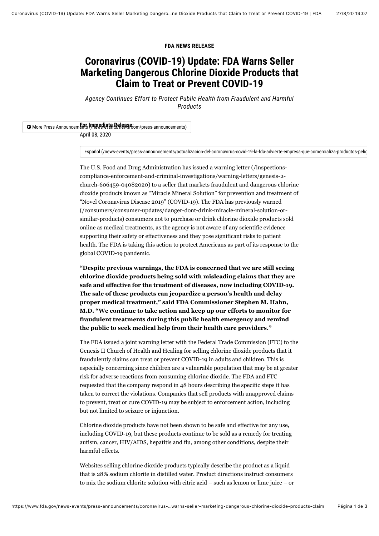#### **FDA NEWS RELEASE**

# **Coronavirus (COVID-19) Update: FDA Warns Seller Marketing Dangerous Chlorine Dioxide Products that Claim to Treat or Prevent COVID-19**

*Agency Continues Effort to Protect Public Health from Fraudulent and Harmful Products*

### **O** More Press Announcements (mmediate Belease: mm/press-announcements)

April 08, 2020

[Español \(/news-events/press-announcements/actualizacion-del-coronavirus-covid-19-la-fda-advierte-empresa-que-comercializa-productos-pelig](https://www.fda.gov/news-events/press-announcements/actualizacion-del-coronavirus-covid-19-la-fda-advierte-empresa-que-comercializa-productos-peligrosos)

The U.S. Food and Drug Administration has issued a warning letter (/inspectionscompliance-enforcement-and-criminal-investigations/warning-letters/genesis-2 [church-606459-04082020\) to a seller that markets fraudulent and dangerous chlo](https://www.fda.gov/inspections-compliance-enforcement-and-criminal-investigations/warning-letters/genesis-2-church-606459-04082020)rine dioxide products known as "Miracle Mineral Solution" for prevention and treatment of "Novel Coronavirus Disease 2019" (COVID-19). The FDA has previously warned [\(/consumers/consumer-updates/danger-dont-drink-miracle-mineral-solution-or](https://www.fda.gov/consumers/consumer-updates/danger-dont-drink-miracle-mineral-solution-or-similar-products)similar-products) consumers not to purchase or drink chlorine dioxide products sold online as medical treatments, as the agency is not aware of any scientific evidence supporting their safety or effectiveness and they pose significant risks to patient health. The FDA is taking this action to protect Americans as part of its response to the global COVID-19 pandemic.

**"Despite previous warnings, the FDA is concerned that we are still seeing chlorine dioxide products being sold with misleading claims that they are safe and effective for the treatment of diseases, now including COVID-19. The sale of these products can jeopardize a person's health and delay proper medical treatment," said FDA Commissioner Stephen M. Hahn, M.D. "We continue to take action and keep up our efforts to monitor for fraudulent treatments during this public health emergency and remind the public to seek medical help from their health care providers."**

The FDA issued a joint warning letter with the Federal Trade Commission (FTC) to the Genesis II Church of Health and Healing for selling chlorine dioxide products that it fraudulently claims can treat or prevent COVID-19 in adults and children. This is especially concerning since children are a vulnerable population that may be at greater risk for adverse reactions from consuming chlorine dioxide. The FDA and FTC requested that the company respond in 48 hours describing the specific steps it has taken to correct the violations. Companies that sell products with unapproved claims to prevent, treat or cure COVID-19 may be subject to enforcement action, including but not limited to seizure or injunction.

Chlorine dioxide products have not been shown to be safe and effective for any use, including COVID-19, but these products continue to be sold as a remedy for treating autism, cancer, HIV/AIDS, hepatitis and flu, among other conditions, despite their harmful effects.

Websites selling chlorine dioxide products typically describe the product as a liquid that is 28% sodium chlorite in distilled water. Product directions instruct consumers to mix the sodium chlorite solution with citric acid – such as lemon or lime juice – or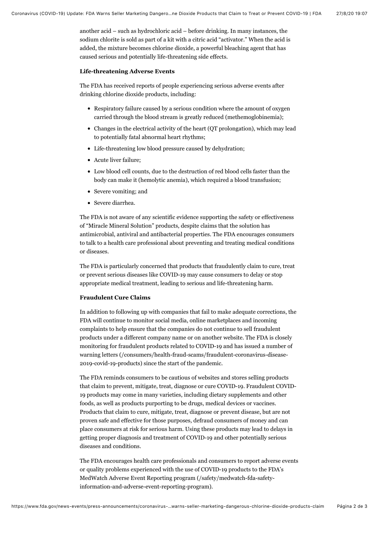another acid – such as hydrochloric acid – before drinking. In many instances, the sodium chlorite is sold as part of a kit with a citric acid "activator." When the acid is added, the mixture becomes chlorine dioxide, a powerful bleaching agent that has caused serious and potentially life-threatening side effects.

#### **Life-threatening Adverse Events**

The FDA has received reports of people experiencing serious adverse events after drinking chlorine dioxide products, including:

- Respiratory failure caused by a serious condition where the amount of oxygen carried through the blood stream is greatly reduced (methemoglobinemia);
- Changes in the electrical activity of the heart (QT prolongation), which may lead to potentially fatal abnormal heart rhythms;
- Life-threatening low blood pressure caused by dehydration;
- Acute liver failure;
- Low blood cell counts, due to the destruction of red blood cells faster than the body can make it (hemolytic anemia), which required a blood transfusion;
- Severe vomiting; and
- Severe diarrhea.

The FDA is not aware of any scientific evidence supporting the safety or effectiveness of "Miracle Mineral Solution" products, despite claims that the solution has antimicrobial, antiviral and antibacterial properties. The FDA encourages consumers to talk to a health care professional about preventing and treating medical conditions or diseases.

The FDA is particularly concerned that products that fraudulently claim to cure, treat or prevent serious diseases like COVID-19 may cause consumers to delay or stop appropriate medical treatment, leading to serious and life-threatening harm.

#### **Fraudulent Cure Claims**

In addition to following up with companies that fail to make adequate corrections, the FDA will continue to monitor social media, online marketplaces and incoming complaints to help ensure that the companies do not continue to sell fraudulent products under a different company name or on another website. The FDA is closely monitoring for fraudulent products related to COVID-19 and has issued a number of [warning letters \(/consumers/health-fraud-scams/fraudulent-coronavirus-disease-](https://www.fda.gov/consumers/health-fraud-scams/fraudulent-coronavirus-disease-2019-covid-19-products)2019-covid-19-products) since the start of the pandemic.

The FDA reminds consumers to be cautious of websites and stores selling products that claim to prevent, mitigate, treat, diagnose or cure COVID-19. Fraudulent COVID-19 products may come in many varieties, including dietary supplements and other foods, as well as products purporting to be drugs, medical devices or vaccines. Products that claim to cure, mitigate, treat, diagnose or prevent disease, but are not proven safe and effective for those purposes, defraud consumers of money and can place consumers at risk for serious harm. Using these products may lead to delays in getting proper diagnosis and treatment of COVID-19 and other potentially serious diseases and conditions.

The FDA encourages health care professionals and consumers to report adverse events [or quality problems experienced with the use of COVID-19 products to the FDA's](https://www.fda.gov/safety/medwatch-fda-safety-information-and-adverse-event-reporting-program) MedWatch Adverse Event Reporting program (/safety/medwatch-fda-safetyinformation-and-adverse-event-reporting-program).